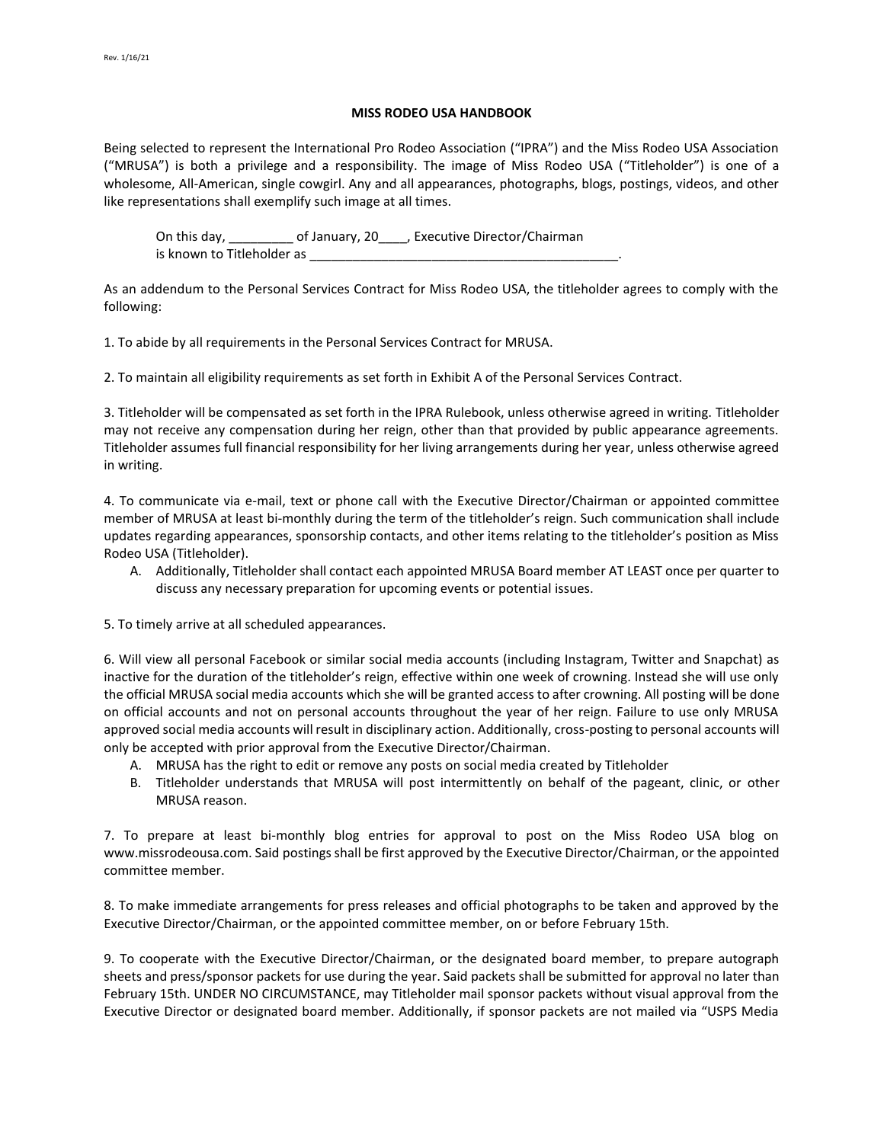## **MISS RODEO USA HANDBOOK**

Being selected to represent the International Pro Rodeo Association ("IPRA") and the Miss Rodeo USA Association ("MRUSA") is both a privilege and a responsibility. The image of Miss Rodeo USA ("Titleholder") is one of a wholesome, All-American, single cowgirl. Any and all appearances, photographs, blogs, postings, videos, and other like representations shall exemplify such image at all times.

On this day, \_\_\_\_\_\_\_\_\_\_ of January, 20\_\_\_\_, Executive Director/Chairman is known to Titleholder as \_\_\_

As an addendum to the Personal Services Contract for Miss Rodeo USA, the titleholder agrees to comply with the following:

1. To abide by all requirements in the Personal Services Contract for MRUSA.

2. To maintain all eligibility requirements as set forth in Exhibit A of the Personal Services Contract.

3. Titleholder will be compensated as set forth in the IPRA Rulebook, unless otherwise agreed in writing. Titleholder may not receive any compensation during her reign, other than that provided by public appearance agreements. Titleholder assumes full financial responsibility for her living arrangements during her year, unless otherwise agreed in writing.

4. To communicate via e-mail, text or phone call with the Executive Director/Chairman or appointed committee member of MRUSA at least bi-monthly during the term of the titleholder's reign. Such communication shall include updates regarding appearances, sponsorship contacts, and other items relating to the titleholder's position as Miss Rodeo USA (Titleholder).

A. Additionally, Titleholder shall contact each appointed MRUSA Board member AT LEAST once per quarter to discuss any necessary preparation for upcoming events or potential issues.

5. To timely arrive at all scheduled appearances.

6. Will view all personal Facebook or similar social media accounts (including Instagram, Twitter and Snapchat) as inactive for the duration of the titleholder's reign, effective within one week of crowning. Instead she will use only the official MRUSA social media accounts which she will be granted access to after crowning. All posting will be done on official accounts and not on personal accounts throughout the year of her reign. Failure to use only MRUSA approved social media accounts will result in disciplinary action. Additionally, cross-posting to personal accounts will only be accepted with prior approval from the Executive Director/Chairman.

- A. MRUSA has the right to edit or remove any posts on social media created by Titleholder
- B. Titleholder understands that MRUSA will post intermittently on behalf of the pageant, clinic, or other MRUSA reason.

7. To prepare at least bi-monthly blog entries for approval to post on the Miss Rodeo USA blog on www.missrodeousa.com. Said postings shall be first approved by the Executive Director/Chairman, or the appointed committee member.

8. To make immediate arrangements for press releases and official photographs to be taken and approved by the Executive Director/Chairman, or the appointed committee member, on or before February 15th.

9. To cooperate with the Executive Director/Chairman, or the designated board member, to prepare autograph sheets and press/sponsor packets for use during the year. Said packets shall be submitted for approval no later than February 15th. UNDER NO CIRCUMSTANCE, may Titleholder mail sponsor packets without visual approval from the Executive Director or designated board member. Additionally, if sponsor packets are not mailed via "USPS Media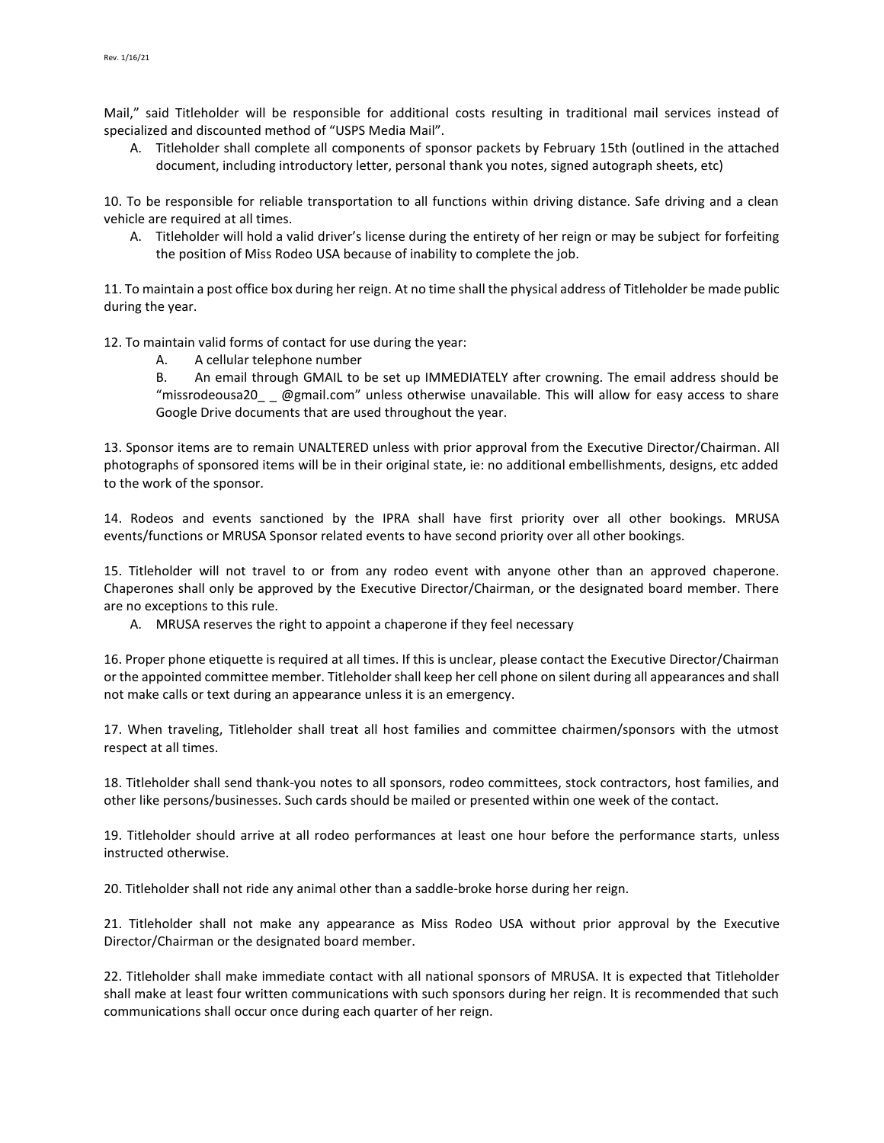Mail," said Titleholder will be responsible for additional costs resulting in traditional mail services instead of specialized and discounted method of "USPS Media Mail".

A. Titleholder shall complete all components of sponsor packets by February 15th (outlined in the attached document, including introductory letter, personal thank you notes, signed autograph sheets, etc)

10. To be responsible for reliable transportation to all functions within driving distance. Safe driving and a clean vehicle are required at all times.

A. Titleholder will hold a valid driver's license during the entirety of her reign or may be subject for forfeiting the position of Miss Rodeo USA because of inability to complete the job.

11. To maintain a post office box during her reign. At no time shall the physical address of Titleholder be made public during the year.

12. To maintain valid forms of contact for use during the year:

A. A cellular telephone number

B. An email through GMAIL to be set up IMMEDIATELY after crowning. The email address should be "missrodeousa20\_ \_ @gmail.com" unless otherwise unavailable. This will allow for easy access to share Google Drive documents that are used throughout the year.

13. Sponsor items are to remain UNALTERED unless with prior approval from the Executive Director/Chairman. All photographs of sponsored items will be in their original state, ie: no additional embellishments, designs, etc added to the work of the sponsor.

14. Rodeos and events sanctioned by the IPRA shall have first priority over all other bookings. MRUSA events/functions or MRUSA Sponsor related events to have second priority over all other bookings.

15. Titleholder will not travel to or from any rodeo event with anyone other than an approved chaperone. Chaperones shall only be approved by the Executive Director/Chairman, or the designated board member. There are no exceptions to this rule.

A. MRUSA reserves the right to appoint a chaperone if they feel necessary

16. Proper phone etiquette is required at all times. If this is unclear, please contact the Executive Director/Chairman or the appointed committee member. Titleholder shall keep her cell phone on silent during all appearances and shall not make calls or text during an appearance unless it is an emergency.

17. When traveling, Titleholder shall treat all host families and committee chairmen/sponsors with the utmost respect at all times.

18. Titleholder shall send thank-you notes to all sponsors, rodeo committees, stock contractors, host families, and other like persons/businesses. Such cards should be mailed or presented within one week of the contact.

19. Titleholder should arrive at all rodeo performances at least one hour before the performance starts, unless instructed otherwise.

20. Titleholder shall not ride any animal other than a saddle-broke horse during her reign.

21. Titleholder shall not make any appearance as Miss Rodeo USA without prior approval by the Executive Director/Chairman or the designated board member.

22. Titleholder shall make immediate contact with all national sponsors of MRUSA. It is expected that Titleholder shall make at least four written communications with such sponsors during her reign. It is recommended that such communications shall occur once during each quarter of her reign.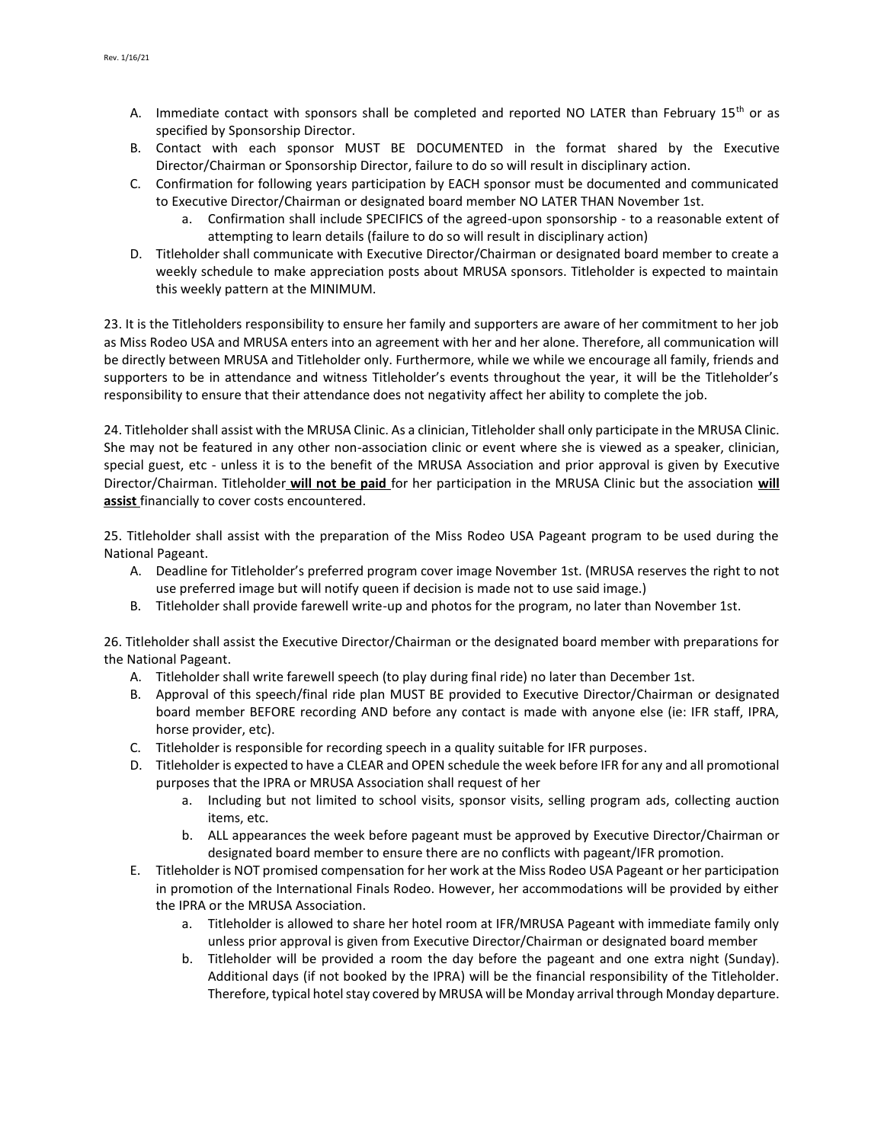- A. Immediate contact with sponsors shall be completed and reported NO LATER than February  $15<sup>th</sup>$  or as specified by Sponsorship Director.
- B. Contact with each sponsor MUST BE DOCUMENTED in the format shared by the Executive Director/Chairman or Sponsorship Director, failure to do so will result in disciplinary action.
- C. Confirmation for following years participation by EACH sponsor must be documented and communicated to Executive Director/Chairman or designated board member NO LATER THAN November 1st.
	- a. Confirmation shall include SPECIFICS of the agreed-upon sponsorship to a reasonable extent of attempting to learn details (failure to do so will result in disciplinary action)
- D. Titleholder shall communicate with Executive Director/Chairman or designated board member to create a weekly schedule to make appreciation posts about MRUSA sponsors. Titleholder is expected to maintain this weekly pattern at the MINIMUM.

23. It is the Titleholders responsibility to ensure her family and supporters are aware of her commitment to her job as Miss Rodeo USA and MRUSA enters into an agreement with her and her alone. Therefore, all communication will be directly between MRUSA and Titleholder only. Furthermore, while we while we encourage all family, friends and supporters to be in attendance and witness Titleholder's events throughout the year, it will be the Titleholder's responsibility to ensure that their attendance does not negativity affect her ability to complete the job.

24. Titleholder shall assist with the MRUSA Clinic. As a clinician, Titleholder shall only participate in the MRUSA Clinic. She may not be featured in any other non-association clinic or event where she is viewed as a speaker, clinician, special guest, etc - unless it is to the benefit of the MRUSA Association and prior approval is given by Executive Director/Chairman. Titleholder **will not be paid** for her participation in the MRUSA Clinic but the association **will assist** financially to cover costs encountered.

25. Titleholder shall assist with the preparation of the Miss Rodeo USA Pageant program to be used during the National Pageant.

- A. Deadline for Titleholder's preferred program cover image November 1st. (MRUSA reserves the right to not use preferred image but will notify queen if decision is made not to use said image.)
- B. Titleholder shall provide farewell write-up and photos for the program, no later than November 1st.

26. Titleholder shall assist the Executive Director/Chairman or the designated board member with preparations for the National Pageant.

- A. Titleholder shall write farewell speech (to play during final ride) no later than December 1st.
- B. Approval of this speech/final ride plan MUST BE provided to Executive Director/Chairman or designated board member BEFORE recording AND before any contact is made with anyone else (ie: IFR staff, IPRA, horse provider, etc).
- C. Titleholder is responsible for recording speech in a quality suitable for IFR purposes.
- D. Titleholder is expected to have a CLEAR and OPEN schedule the week before IFR for any and all promotional purposes that the IPRA or MRUSA Association shall request of her
	- a. Including but not limited to school visits, sponsor visits, selling program ads, collecting auction items, etc.
	- b. ALL appearances the week before pageant must be approved by Executive Director/Chairman or designated board member to ensure there are no conflicts with pageant/IFR promotion.
- E. Titleholder is NOT promised compensation for her work at the Miss Rodeo USA Pageant or her participation in promotion of the International Finals Rodeo. However, her accommodations will be provided by either the IPRA or the MRUSA Association.
	- a. Titleholder is allowed to share her hotel room at IFR/MRUSA Pageant with immediate family only unless prior approval is given from Executive Director/Chairman or designated board member
	- b. Titleholder will be provided a room the day before the pageant and one extra night (Sunday). Additional days (if not booked by the IPRA) will be the financial responsibility of the Titleholder. Therefore, typical hotel stay covered by MRUSA will be Monday arrival through Monday departure.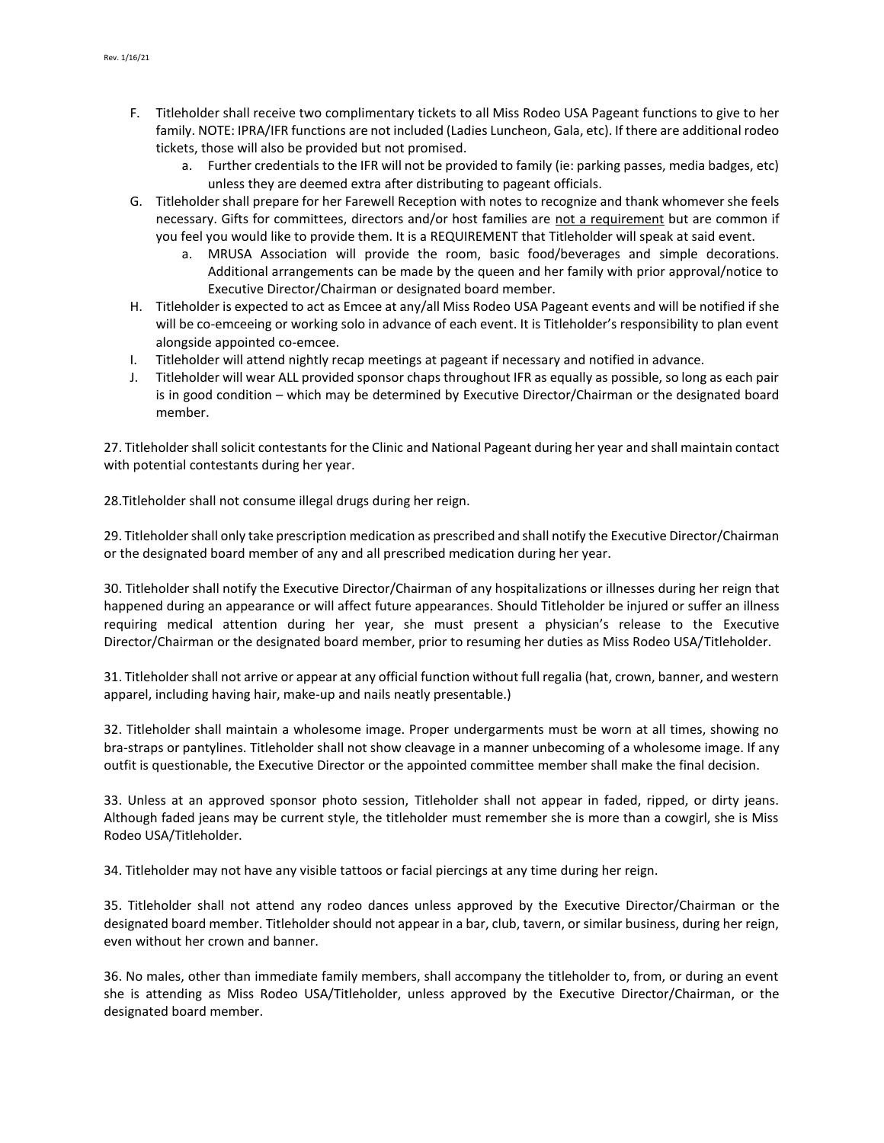- F. Titleholder shall receive two complimentary tickets to all Miss Rodeo USA Pageant functions to give to her family. NOTE: IPRA/IFR functions are not included (Ladies Luncheon, Gala, etc). If there are additional rodeo tickets, those will also be provided but not promised.
	- a. Further credentials to the IFR will not be provided to family (ie: parking passes, media badges, etc) unless they are deemed extra after distributing to pageant officials.
- G. Titleholder shall prepare for her Farewell Reception with notes to recognize and thank whomever she feels necessary. Gifts for committees, directors and/or host families are not a requirement but are common if you feel you would like to provide them. It is a REQUIREMENT that Titleholder will speak at said event.
	- a. MRUSA Association will provide the room, basic food/beverages and simple decorations. Additional arrangements can be made by the queen and her family with prior approval/notice to Executive Director/Chairman or designated board member.
- H. Titleholder is expected to act as Emcee at any/all Miss Rodeo USA Pageant events and will be notified if she will be co-emceeing or working solo in advance of each event. It is Titleholder's responsibility to plan event alongside appointed co-emcee.
- I. Titleholder will attend nightly recap meetings at pageant if necessary and notified in advance.
- J. Titleholder will wear ALL provided sponsor chaps throughout IFR as equally as possible, so long as each pair is in good condition – which may be determined by Executive Director/Chairman or the designated board member.

27. Titleholder shall solicit contestants for the Clinic and National Pageant during her year and shall maintain contact with potential contestants during her year.

28.Titleholder shall not consume illegal drugs during her reign.

29. Titleholder shall only take prescription medication as prescribed and shall notify the Executive Director/Chairman or the designated board member of any and all prescribed medication during her year.

30. Titleholder shall notify the Executive Director/Chairman of any hospitalizations or illnesses during her reign that happened during an appearance or will affect future appearances. Should Titleholder be injured or suffer an illness requiring medical attention during her year, she must present a physician's release to the Executive Director/Chairman or the designated board member, prior to resuming her duties as Miss Rodeo USA/Titleholder.

31. Titleholder shall not arrive or appear at any official function without full regalia (hat, crown, banner, and western apparel, including having hair, make-up and nails neatly presentable.)

32. Titleholder shall maintain a wholesome image. Proper undergarments must be worn at all times, showing no bra-straps or pantylines. Titleholder shall not show cleavage in a manner unbecoming of a wholesome image. If any outfit is questionable, the Executive Director or the appointed committee member shall make the final decision.

33. Unless at an approved sponsor photo session, Titleholder shall not appear in faded, ripped, or dirty jeans. Although faded jeans may be current style, the titleholder must remember she is more than a cowgirl, she is Miss Rodeo USA/Titleholder.

34. Titleholder may not have any visible tattoos or facial piercings at any time during her reign.

35. Titleholder shall not attend any rodeo dances unless approved by the Executive Director/Chairman or the designated board member. Titleholder should not appear in a bar, club, tavern, or similar business, during her reign, even without her crown and banner.

36. No males, other than immediate family members, shall accompany the titleholder to, from, or during an event she is attending as Miss Rodeo USA/Titleholder, unless approved by the Executive Director/Chairman, or the designated board member.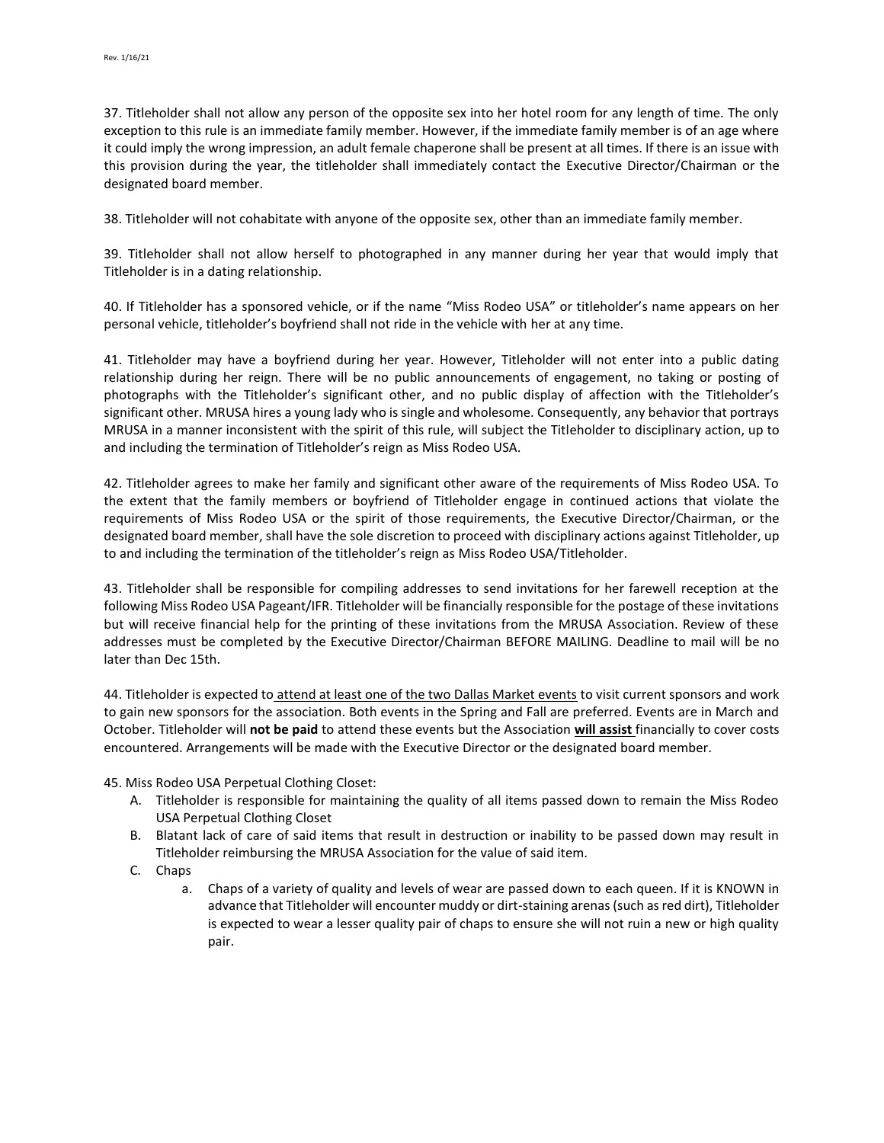37. Titleholder shall not allow any person of the opposite sex into her hotel room for any length of time. The only exception to this rule is an immediate family member. However, if the immediate family member is of an age where it could imply the wrong impression, an adult female chaperone shall be present at all times. If there is an issue with this provision during the year, the titleholder shall immediately contact the Executive Director/Chairman or the designated board member.

38. Titleholder will not cohabitate with anyone of the opposite sex, other than an immediate family member.

39. Titleholder shall not allow herself to photographed in any manner during her year that would imply that Titleholder is in a dating relationship.

40. If Titleholder has a sponsored vehicle, or if the name "Miss Rodeo USA" or titleholder's name appears on her personal vehicle, titleholder's boyfriend shall not ride in the vehicle with her at any time.

41. Titleholder may have a boyfriend during her year. However, Titleholder will not enter into a public dating relationship during her reign. There will be no public announcements of engagement, no taking or posting of photographs with the Titleholder's significant other, and no public display of affection with the Titleholder's significant other. MRUSA hires a young lady who is single and wholesome. Consequently, any behavior that portrays MRUSA in a manner inconsistent with the spirit of this rule, will subject the Titleholder to disciplinary action, up to and including the termination of Titleholder's reign as Miss Rodeo USA.

42. Titleholder agrees to make her family and significant other aware of the requirements of Miss Rodeo USA. To the extent that the family members or boyfriend of Titleholder engage in continued actions that violate the requirements of Miss Rodeo USA or the spirit of those requirements, the Executive Director/Chairman, or the designated board member, shall have the sole discretion to proceed with disciplinary actions against Titleholder, up to and including the termination of the titleholder's reign as Miss Rodeo USA/Titleholder.

43. Titleholder shall be responsible for compiling addresses to send invitations for her farewell reception at the following Miss Rodeo USA Pageant/IFR. Titleholder will be financially responsible for the postage of these invitations but will receive financial help for the printing of these invitations from the MRUSA Association. Review of these addresses must be completed by the Executive Director/Chairman BEFORE MAILING. Deadline to mail will be no later than Dec 15th.

44. Titleholder is expected to attend at least one of the two Dallas Market events to visit current sponsors and work to gain new sponsors for the association. Both events in the Spring and Fall are preferred. Events are in March and October. Titleholder will **not be paid** to attend these events but the Association **will assist** financially to cover costs encountered. Arrangements will be made with the Executive Director or the designated board member.

45. Miss Rodeo USA Perpetual Clothing Closet:

- A. Titleholder is responsible for maintaining the quality of all items passed down to remain the Miss Rodeo USA Perpetual Clothing Closet
- B. Blatant lack of care of said items that result in destruction or inability to be passed down may result in Titleholder reimbursing the MRUSA Association for the value of said item.
- C. Chaps
	- a. Chaps of a variety of quality and levels of wear are passed down to each queen. If it is KNOWN in advance that Titleholder will encounter muddy or dirt-staining arenas (such as red dirt), Titleholder is expected to wear a lesser quality pair of chaps to ensure she will not ruin a new or high quality pair.